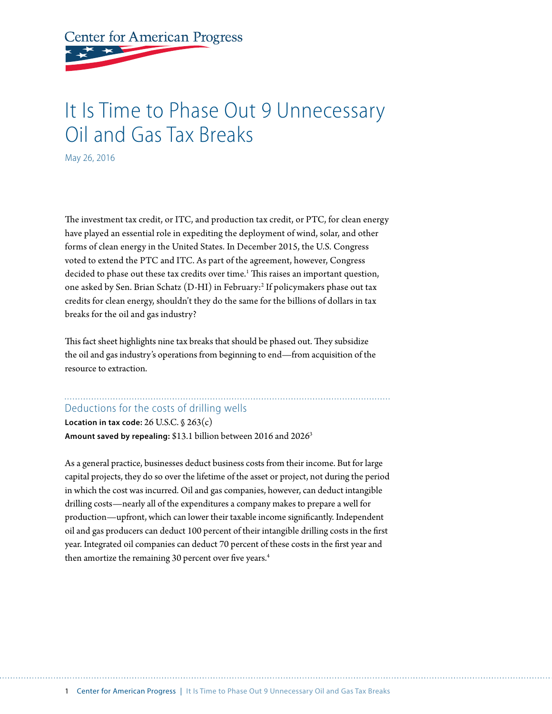**Center for American Progress** 

# It Is Time to Phase Out 9 Unnecessary Oil and Gas Tax Breaks

May 26, 2016

The investment tax credit, or ITC, and production tax credit, or PTC, for clean energy have played an essential role in expediting the deployment of wind, solar, and other forms of clean energy in the United States. In December 2015, the U.S. Congress voted to extend the PTC and ITC. As part of the agreement, however, Congress decided to phase out these tax credits over time.<sup>1</sup> This raises an important question, one asked by Sen. Brian Schatz (D-HI) in February:2 If policymakers phase out tax credits for clean energy, shouldn't they do the same for the billions of dollars in tax breaks for the oil and gas industry?

This fact sheet highlights nine tax breaks that should be phased out. They subsidize the oil and gas industry's operations from beginning to end—from acquisition of the resource to extraction.

#### Deductions for the costs of drilling wells

**Location in tax code:** 26 U.S.C. § 263(c) **Amount saved by repealing:** \$13.1 billion between 2016 and 20263

As a general practice, businesses deduct business costs from their income. But for large capital projects, they do so over the lifetime of the asset or project, not during the period in which the cost was incurred. Oil and gas companies, however, can deduct intangible drilling costs—nearly all of the expenditures a company makes to prepare a well for production—upfront, which can lower their taxable income significantly. Independent oil and gas producers can deduct 100 percent of their intangible drilling costs in the first year. Integrated oil companies can deduct 70 percent of these costs in the first year and then amortize the remaining 30 percent over five years.<sup>4</sup>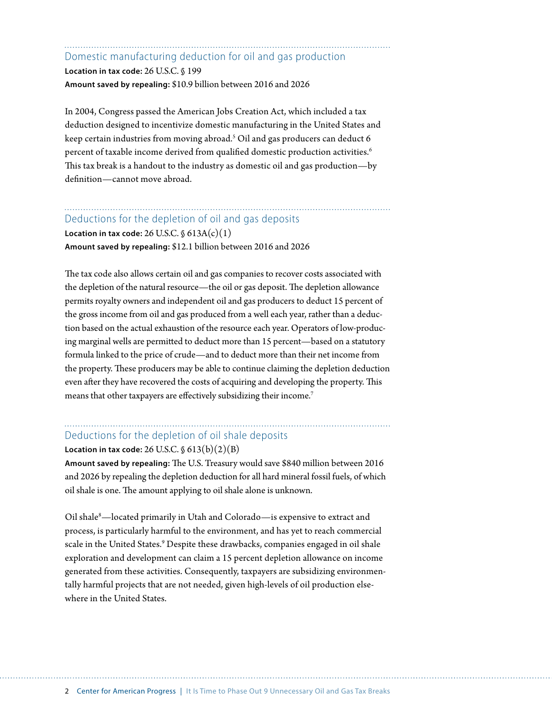Domestic manufacturing deduction for oil and gas production

**Location in tax code:** 26 U.S.C. § 199 **Amount saved by repealing:** \$10.9 billion between 2016 and 2026

In 2004, Congress passed the American Jobs Creation Act, which included a tax deduction designed to incentivize domestic manufacturing in the United States and keep certain industries from moving abroad.5 Oil and gas producers can deduct 6 percent of taxable income derived from qualified domestic production activities.<sup>6</sup> This tax break is a handout to the industry as domestic oil and gas production—by definition—cannot move abroad.

### Deductions for the depletion of oil and gas deposits

**Location in tax code:**  $26$  U.S.C.  $\S$   $613A(c)(1)$ **Amount saved by repealing:** \$12.1 billion between 2016 and 2026

The tax code also allows certain oil and gas companies to recover costs associated with the depletion of the natural resource—the oil or gas deposit. The depletion allowance permits royalty owners and independent oil and gas producers to deduct 15 percent of the gross income from oil and gas produced from a well each year, rather than a deduction based on the actual exhaustion of the resource each year. Operators of low-producing marginal wells are permitted to deduct more than 15 percent—based on a statutory formula linked to the price of crude—and to deduct more than their net income from the property. These producers may be able to continue claiming the depletion deduction even after they have recovered the costs of acquiring and developing the property. This means that other taxpayers are effectively subsidizing their income.7

## Deductions for the depletion of oil shale deposits

**Location in tax code:** 26 U.S.C. § 613(b)(2)(B)

**Amount saved by repealing:** The U.S. Treasury would save \$840 million between 2016 and 2026 by repealing the depletion deduction for all hard mineral fossil fuels, of which oil shale is one. The amount applying to oil shale alone is unknown.

Oil shale<sup>8</sup>—located primarily in Utah and Colorado—is expensive to extract and process, is particularly harmful to the environment, and has yet to reach commercial scale in the United States.<sup>9</sup> Despite these drawbacks, companies engaged in oil shale exploration and development can claim a 15 percent depletion allowance on income generated from these activities. Consequently, taxpayers are subsidizing environmentally harmful projects that are not needed, given high-levels of oil production elsewhere in the United States.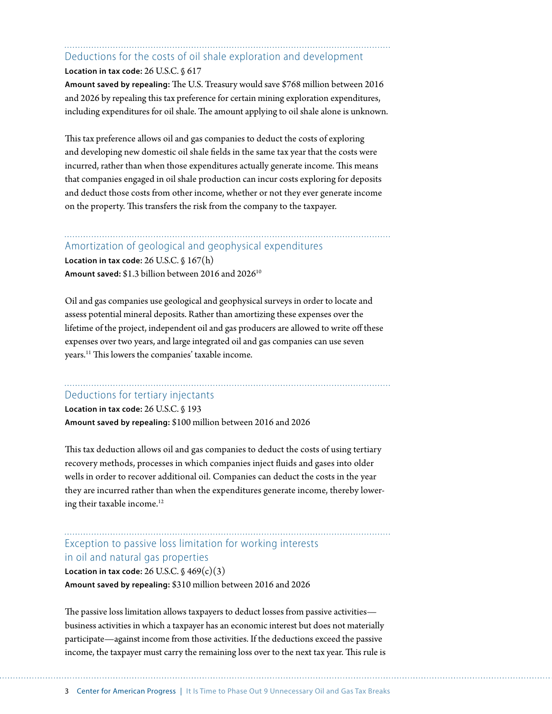## Deductions for the costs of oil shale exploration and development **Location in tax code:** 26 U.S.C. § 617

**Amount saved by repealing:** The U.S. Treasury would save \$768 million between 2016 and 2026 by repealing this tax preference for certain mining exploration expenditures, including expenditures for oil shale. The amount applying to oil shale alone is unknown.

This tax preference allows oil and gas companies to deduct the costs of exploring and developing new domestic oil shale fields in the same tax year that the costs were incurred, rather than when those expenditures actually generate income. This means that companies engaged in oil shale production can incur costs exploring for deposits and deduct those costs from other income, whether or not they ever generate income on the property. This transfers the risk from the company to the taxpayer.

#### Amortization of geological and geophysical expenditures

**Location in tax code:** 26 U.S.C. § 167(h) **Amount saved:** \$1.3 billion between 2016 and 202610

Oil and gas companies use geological and geophysical surveys in order to locate and assess potential mineral deposits. Rather than amortizing these expenses over the lifetime of the project, independent oil and gas producers are allowed to write off these expenses over two years, and large integrated oil and gas companies can use seven years.11 This lowers the companies' taxable income.

#### Deductions for tertiary injectants

**Location in tax code:** 26 U.S.C. § 193 **Amount saved by repealing:** \$100 million between 2016 and 2026

This tax deduction allows oil and gas companies to deduct the costs of using tertiary recovery methods, processes in which companies inject fluids and gases into older wells in order to recover additional oil. Companies can deduct the costs in the year they are incurred rather than when the expenditures generate income, thereby lowering their taxable income.<sup>12</sup>

### Exception to passive loss limitation for working interests in oil and natural gas properties

**Location in tax code:**  $26$  U.S.C.  $\frac{6}{5}$   $469(c)(3)$ **Amount saved by repealing:** \$310 million between 2016 and 2026

The passive loss limitation allows taxpayers to deduct losses from passive activities business activities in which a taxpayer has an economic interest but does not materially participate—against income from those activities. If the deductions exceed the passive income, the taxpayer must carry the remaining loss over to the next tax year. This rule is